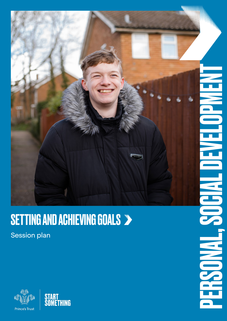

### SETTING AND ACHIEVING GOALS

Session plan



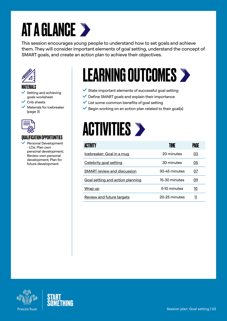## AT A GLANCE >

This session encourages young people to understand how to set goals and achieve them. They will consider important elements of goal setting, understand the concept of SMART goals, and create an action plan to achieve their objectives.



### MATERIALS

- Setting and achieving goals worksheet
- Crib sheets
- Materials for icebreaker (page 3)



### QUALIFICATION OPPORTUNITIES

 Personal Development - LOs: Plan own personal development; Review own personal development; Plan for future development

## LEARNING OUTCOMES

- $\checkmark$  State important elements of successful goal setting
- $\vee$  Define SMART goals and explain their importance
- $\vee$  List some common benefits of goal setting
- $\vee$  Begin working on an action plan related to their goal(s)



| <b>ACTIVITY</b>                    | TIME          | PAGE |
|------------------------------------|---------------|------|
| Icebreaker: Goal in a mug          | 20 minutes    | 03   |
| Celebrity goal setting             | 30 minutes    | 05   |
| <b>SMART</b> review and discussion | 30-45 minutes | 07   |
| Goal setting and action planning   | 15-30 minutes | 09   |
| Wrap up                            | 5-10 minutes  | 10   |
| Review and future targets          | 20-25 minutes |      |



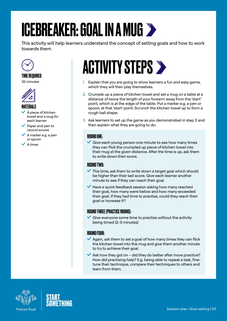## <span id="page-2-0"></span>ICEBREAKER: GOAL IN A MUG >

This activity will help learners understand the concept of setting goals and how to work towards them.



### TIME REQUIRED

20 minutes



### MATERIALS

- A piece of kitchen towel and a mug for each learner
- $\vee$  Paper and pen to record scores
- A marker e.g. a pen or spoon
- $\vee$  A timer

### **ACTIVITY STEPS >**

- 1. Explain that you are going to show learners a fun and easy game, which they will then play themselves.
- 2. Crumple up a piece of kitchen towel and set a mug on a table at a distance of twice the length of your forearm away from the 'start' point, which is at the edge of the table. Put a marker e.g. a pen or spoon, at that 'start' point. Scrunch the kitchen towel up to form a rough ball shape.
- 3. Ask learners to set up the game as you demonstrated in step 2 and then explain what they are going to do:

### ROUND ONF-

 $\checkmark$  Give each young person one minute to see how many times they can flick the crumpled up piece of kitchen towel into their mug at the given distance. After the time is up, ask them to write down their score.

### ROUND TWO:

- $\blacktriangleright$  This time, ask them to write down a target goal which should be higher than their last score. Give each learner another minute to see if they can reach their goal.
- $\blacktriangleright$  Have a quick feedback session asking how many reached their goal, how many were below and how many exceeded their goal. If they had time to practise, could they reach their goal or increase it?

### ROUND THREE (PRACTICE ROUND):

 $\blacktriangleright$  Give everyone some time to practise without the activity being timed (2–5 minutes)

### ROUND FOUR:

- $\vee$  Again, ask them to set a goal of how many times they can flick the kitchen towel into the mug and give them another minute to try to achieve their goal.
- $\blacktriangleright$  Ask how they got on did they do better after more practice? How did practising help? E.g. being able to repeat a task, finetune their technique, compare their techniques to others and learn from them.



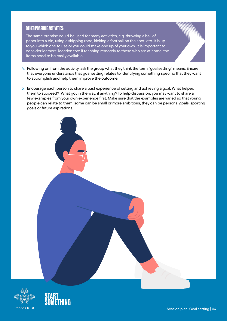### OTHER POSSIBLE ACTIVITIES:

The same premise could be used for many activities, e.g. throwing a ball of paper into a bin, using a skipping rope, kicking a football on the spot, etc. It is up to you which one to use or you could make one up of your own. It is important to consider learners' location too: if teaching remotely to those who are at home, the items need to be easily available.

- 4. Following on from the activity, ask the group what they think the term "goal setting" means. Ensure that everyone understands that goal setting relates to identifying something specific that they want to accomplish and help them improve the outcome.
- 5. Encourage each person to share a past experience of setting and achieving a goal. What helped them to succeed? What got in the way, if anything? To help discussion, you may want to share a few examples from your own experience first. Make sure that the examples are varied so that young people can relate to them, some can be small or more ambitious, they can be personal goals, sporting goals or future aspirations.





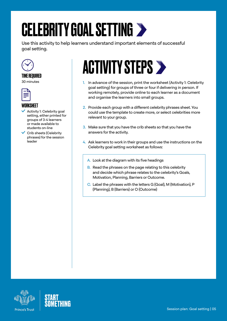## <span id="page-4-0"></span>CELEBRITY GOAL SETTING

Use this activity to help learners understand important elements of successful goal setting.



### TIME REQUIRED

30 minutes



### WORKSHEET

- Activity 1: Celebrity goal setting, either printed for groups of 3-4 learners or made available to students on-line
- Crib sheets (Celebrity phrases) for the session leader

## **ACTIVITY STEPS >**

- 1. In advance of the session, print the worksheet (Activity 1: Celebrity goal setting) for groups of three or four if delivering in person. If working remotely, provide online to each learner as a document and organise the learners into small groups.
- 2. Provide each group with a different celebrity phrases sheet. You could use the template to create more, or select celebrities more relevant to your group.
- 3. Make sure that you have the crib sheets so that you have the answers for the activity.
- 4. Ask learners to work in their groups and use the instructions on the Celebrity goal setting worksheet as follows:
	- A. Look at the diagram with its five headings
	- B. Read the phrases on the page relating to this celebrity and decide which phrase relates to the celebrity's Goals, Motivation, Planning, Barriers or Outcome.
	- C. Label the phrases with the letters G (Goal), M (Motivation), P (Planning), B (Barriers) or O (Outcome)



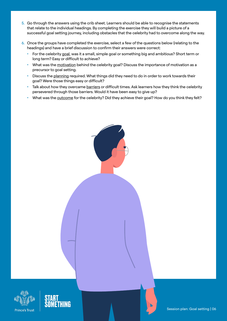- 5. Go through the answers using the crib sheet. Learners should be able to recognise the statements that relate to the individual headings. By completing the exercise they will build a picture of a successful goal setting journey, including obstacles that the celebrity had to overcome along the way.
- 6. Once the groups have completed the exercise, select a few of the questions below (relating to the headings) and have a brief discussion to confirm their answers were correct:
	- For the celebrity goal, was it a small, simple goal or something big and ambitious? Short term or long term? Easy or difficult to achieve?
	- What was the motivation behind the celebrity goal? Discuss the importance of motivation as a precursor to goal setting.
	- Discuss the planning required. What things did they need to do in order to work towards their goal? Were those things easy or difficult?
	- Talk about how they overcame barriers or difficult times. Ask learners how they think the celebrity persevered through those barriers. Would it have been easy to give up?
	- What was the outcome for the celebrity? Did they achieve their goal? How do you think they felt?





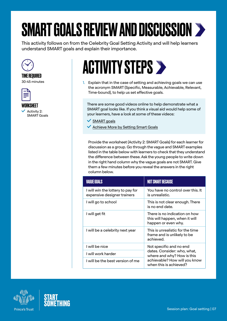# <span id="page-6-0"></span>SMART GOALS REVIEW AND DISCUSSION

This activity follows on from the Celebrity Goal Setting Activity and will help learners understand SMART goals and explain their importance.



### TIME REQUIRED

30-45 minutes



WORKSHEET

 Activity 2: SMART Goals

## ACTIVITY STEPS  $\triangleright$

1. Explain that in the case of setting and achieving goals we can use the acronym SMART (Specific, Measurable, Achievable, Relevant, Time-bound), to help us set effective goals.

There are some good videos online to help demonstrate what a SMART goal looks like. If you think a visual aid would help some of your learners, have a look at some of these videos:

- $\vee$  [SMART goals](https://www.youtube.com/watch?v=OVnCUtMKucM)
- K [Achieve More by Setting Smart Goals](https://www.youtube.com/watch?v=yA53yhiOe04)

Provide the worksheet (Activity 2: SMART Goals) for each learner for discussion as a group. Go through the vague and SMART examples listed in the table below with learners to check that they understand the difference between these. Ask the young people to write down in the right hand column why the vague goals are not SMART. Give them a few minutes before you reveal the answers in the right column below.

| <b>VAGUE GOALS</b>                                               | <b>NOT SMART BECAUSE</b>                                                                                                                        |  |
|------------------------------------------------------------------|-------------------------------------------------------------------------------------------------------------------------------------------------|--|
| I will win the lottery to pay for<br>expensive designer trainers | You have no control over this. It<br>is unrealistic.                                                                                            |  |
| l will go to school                                              | This is not clear enough. There<br>is no end date.                                                                                              |  |
| I will get fit                                                   | There is no indication on how<br>this will happen, when it will<br>happen or even why.                                                          |  |
| I will be a celebrity next year                                  | This is unrealistic for the time<br>frame and is unlikely to be<br>achieved.                                                                    |  |
| I will be nice                                                   | Not specific and no end<br>dates. Consider: who, what,<br>where and why? How is this<br>achievable? How will you know<br>when this is achieved? |  |
| I will work harder                                               |                                                                                                                                                 |  |
| I will be the best version of me                                 |                                                                                                                                                 |  |





Session plan: Goal setting | 07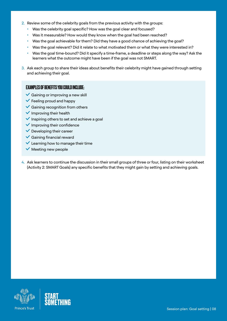- 2. Review some of the celebrity goals from the previous activity with the groups:
	- Was the celebrity goal specific? How was the goal clear and focused?
	- Was it measurable? How would they know when the goal had been reached?
	- Was the goal achievable for them? Did they have a good chance of achieving the goal?
	- Was the goal relevant? Did it relate to what motivated them or what they were interested in?
	- Was the goal time-bound? Did it specify a time-frame, a deadline or steps along the way? Ask the learners what the outcome might have been if the goal was not SMART.
- 3. Ask each group to share their ideas about benefits their celebrity might have gained through setting and achieving their goal.

#### EXAMPLES OF BENEFITS YOU COULD INCLUDE:

- $\vee$  Gaining or improving a new skill
- $\checkmark$  Feeling proud and happy
- $\checkmark$  Gaining recognition from others
- $\checkmark$  Improving their health
- $\vee$  Inspiring others to set and achieve a goal
- $\checkmark$  Improving their confidence
- $\vee$  Developing their career
- $\checkmark$  Gaining financial reward
- $\checkmark$  Learning how to manage their time
- $\checkmark$  Meeting new people
- 4. Ask learners to continue the discussion in their small groups of three or four, listing on their worksheet (Activity 2: SMART Goals) any specific benefits that they might gain by setting and achieving goals.

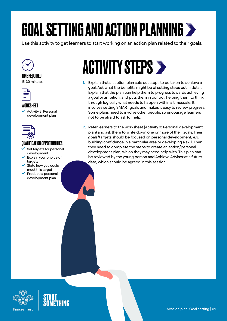# <span id="page-8-0"></span>GOAL SETTING AND ACTION PLANNING

Use this activity to get learners to start working on an action plan related to their goals.



### TIME REQUIRED

15-30 minutes



### WORKSHEET

 Activity 3: Personal development plan



### QUALIFICATION OPPORTUNITIES

- Set targets for personal development
- Explain your choice of targets
- State how you could meet this target
- Produce a personal development plan

## **ACTIVITY STEPS >**

- 1. Explain that an action plan sets out steps to be taken to achieve a goal. Ask what the benefits might be of setting steps out in detail. Explain that the plan can help them to progress towards achieving a goal or ambition, and puts them in control, helping them to think through logically what needs to happen within a timescale. It involves setting SMART goals and makes it easy to review progress. Some plans need to involve other people, so encourage learners not to be afraid to ask for help.
- 2. Refer learners to the worksheet (Activity 3: Personal development plan) and ask them to write down one or more of their goals. Their goals/targets should be focused on personal development, e.g. building confidence in a particular area or developing a skill. Then they need to complete the steps to create an action/personal development plan, which they may need help with. This plan can be reviewed by the young person and Achieve Adviser at a future date, which should be agreed in this session.



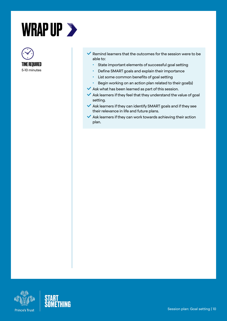<span id="page-9-0"></span>



- $\vee$  Remind learners that the outcomes for the session were to be able to:
	- State important elements of successful goal setting
	- Define SMART goals and explain their importance
	- List some common benefits of goal setting
	- Begin working on an action plan related to their goal(s)
- $\blacktriangleright$  Ask what has been learned as part of this session.
- $\blacktriangleright$  Ask learners if they feel that they understand the value of goal setting.
- $\blacktriangleright$  Ask learners if they can identify SMART goals and if they see their relevance in life and future plans.
- $\blacktriangleright$  Ask learners if they can work towards achieving their action plan.